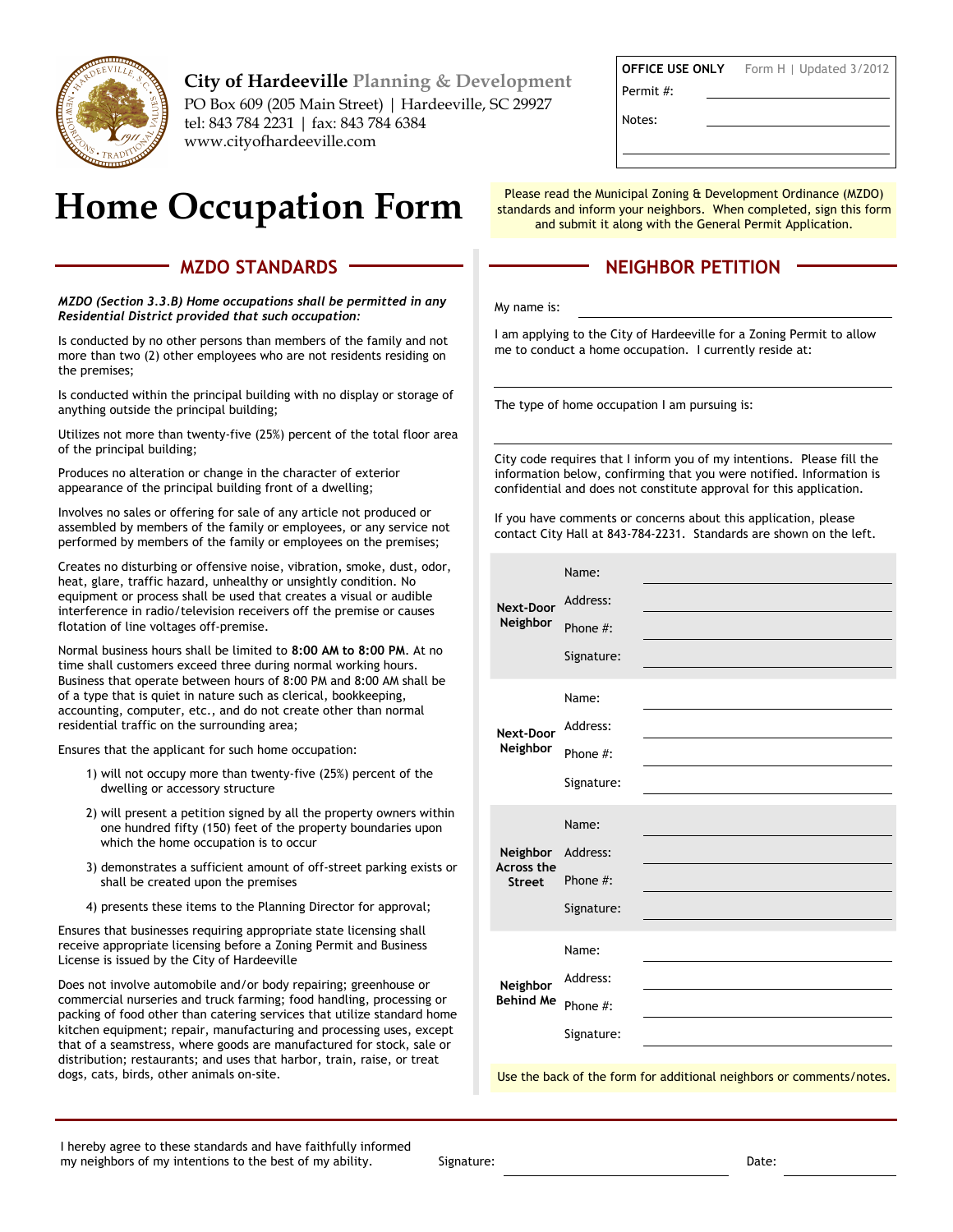

**City of Hardeeville Planning & Development** PO Box 609 (205 Main Street) | Hardeeville, SC 29927 tel: 843 784 2231 | fax: 843 784 6384 www.cityofhardeeville.com

# **Home Occupation Form**

#### **MZDO STANDARDS**

*MZDO (Section 3.3.B) Home occupations shall be permitted in any Residential District provided that such occupation:* 

Is conducted by no other persons than members of the family and not more than two (2) other employees who are not residents residing on the premises;

Is conducted within the principal building with no display or storage of anything outside the principal building;

Utilizes not more than twenty-five (25%) percent of the total floor area of the principal building;

Produces no alteration or change in the character of exterior appearance of the principal building front of a dwelling;

Involves no sales or offering for sale of any article not produced or assembled by members of the family or employees, or any service not performed by members of the family or employees on the premises;

Creates no disturbing or offensive noise, vibration, smoke, dust, odor, heat, glare, traffic hazard, unhealthy or unsightly condition. No equipment or process shall be used that creates a visual or audible interference in radio/television receivers off the premise or causes flotation of line voltages off-premise.

Normal business hours shall be limited to **8:00 AM to 8:00 PM**. At no time shall customers exceed three during normal working hours. Business that operate between hours of 8:00 PM and 8:00 AM shall be of a type that is quiet in nature such as clerical, bookkeeping, accounting, computer, etc., and do not create other than normal residential traffic on the surrounding area;

Ensures that the applicant for such home occupation:

- 1) will not occupy more than twenty-five (25%) percent of the dwelling or accessory structure
- 2) will present a petition signed by all the property owners within one hundred fifty (150) feet of the property boundaries upon which the home occupation is to occur
- 3) demonstrates a sufficient amount of off-street parking exists or shall be created upon the premises
- 4) presents these items to the Planning Director for approval;

Ensures that businesses requiring appropriate state licensing shall receive appropriate licensing before a Zoning Permit and Business License is issued by the City of Hardeeville

Does not involve automobile and/or body repairing; greenhouse or commercial nurseries and truck farming; food handling, processing or packing of food other than catering services that utilize standard home kitchen equipment; repair, manufacturing and processing uses, except that of a seamstress, where goods are manufactured for stock, sale or distribution; restaurants; and uses that harbor, train, raise, or treat dogs, cats, birds, other animals on-site.

 **OFFICE USE ONLY** Permit #: Form H | Updated 3/2012

Notes:

Please read the Municipal Zoning & Development Ordinance (MZDO) standards and inform your neighbors. When completed, sign this form and submit it along with the General Permit Application.

### **NEIGHBOR PETITION**

My name is:

I am applying to the City of Hardeeville for a Zoning Permit to allow me to conduct a home occupation. I currently reside at:

The type of home occupation I am pursuing is:

City code requires that I inform you of my intentions. Please fill the information below, confirming that you were notified. Information is confidential and does not constitute approval for this application.

If you have comments or concerns about this application, please contact City Hall at 843-784-2231. Standards are shown on the left.

| <b>Next-Door</b><br>Neighbor            | Name:      |  |
|-----------------------------------------|------------|--|
|                                         | Address:   |  |
|                                         | Phone #:   |  |
|                                         | Signature: |  |
| <b>Next-Door</b><br>Neighbor            | Name:      |  |
|                                         | Address:   |  |
|                                         | Phone #:   |  |
|                                         | Signature: |  |
| Neighbor<br>Across the<br><b>Street</b> | Name:      |  |
|                                         | Address:   |  |
|                                         | Phone #:   |  |
|                                         | Signature: |  |
| Neighbor<br><b>Behind Me</b>            | Name:      |  |
|                                         | Address:   |  |
|                                         | Phone #:   |  |
|                                         | Signature: |  |
|                                         |            |  |

Use the back of the form for additional neighbors or comments/notes.

Signature: Date: Date: Date: Date: Date: Date: Date: Date: Date: Date: Date: Date: Date: Date: Date: Date: Date: Date: Date: Date: Date: Date: Date: Date: Date: Date: Date: Date: Date: Date: Date: Date: Date: Date: Date: D